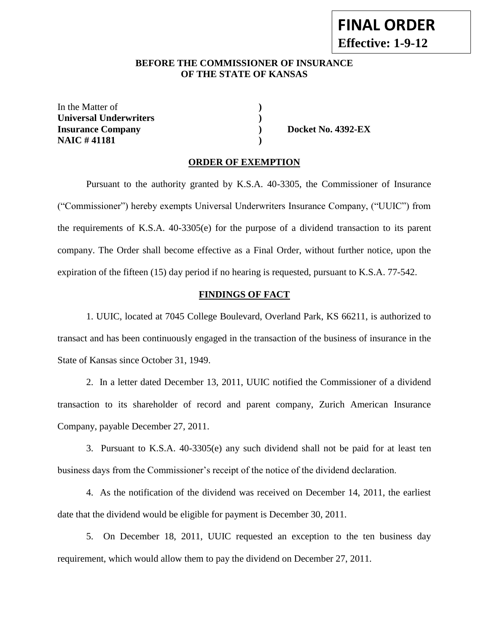## **BEFORE THE COMMISSIONER OF INSURANCE OF THE STATE OF KANSAS**

In the Matter of **) Universal Underwriters ) Insurance Company ) Docket No. 4392-EX NAIC # 41181 )**

### **ORDER OF EXEMPTION**

Pursuant to the authority granted by K.S.A. 40-3305, the Commissioner of Insurance ("Commissioner") hereby exempts Universal Underwriters Insurance Company, ("UUIC") from the requirements of K.S.A. 40-3305(e) for the purpose of a dividend transaction to its parent company. The Order shall become effective as a Final Order, without further notice, upon the expiration of the fifteen (15) day period if no hearing is requested, pursuant to K.S.A. 77-542.

### **FINDINGS OF FACT**

1. UUIC, located at 7045 College Boulevard, Overland Park, KS 66211, is authorized to transact and has been continuously engaged in the transaction of the business of insurance in the State of Kansas since October 31, 1949.

2. In a letter dated December 13, 2011, UUIC notified the Commissioner of a dividend transaction to its shareholder of record and parent company, Zurich American Insurance Company, payable December 27, 2011.

3. Pursuant to K.S.A. 40-3305(e) any such dividend shall not be paid for at least ten business days from the Commissioner's receipt of the notice of the dividend declaration.

4. As the notification of the dividend was received on December 14, 2011, the earliest date that the dividend would be eligible for payment is December 30, 2011.

5. On December 18, 2011, UUIC requested an exception to the ten business day requirement, which would allow them to pay the dividend on December 27, 2011.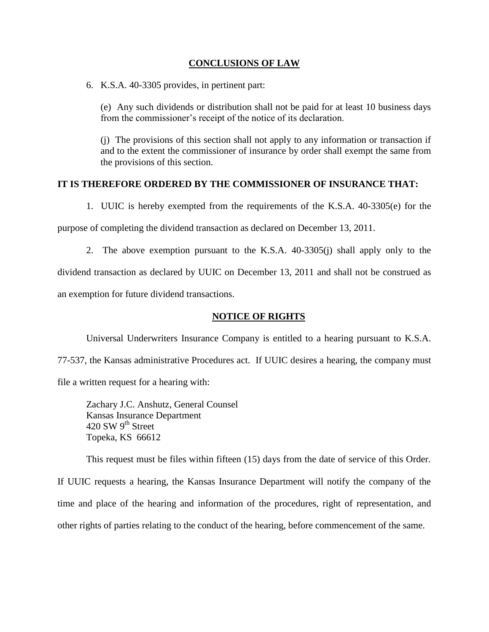### **CONCLUSIONS OF LAW**

6. K.S.A. 40-3305 provides, in pertinent part:

(e) Any such dividends or distribution shall not be paid for at least 10 business days from the commissioner's receipt of the notice of its declaration.

(j) The provisions of this section shall not apply to any information or transaction if and to the extent the commissioner of insurance by order shall exempt the same from the provisions of this section.

## **IT IS THEREFORE ORDERED BY THE COMMISSIONER OF INSURANCE THAT:**

1. UUIC is hereby exempted from the requirements of the K.S.A. 40-3305(e) for the

purpose of completing the dividend transaction as declared on December 13, 2011.

2. The above exemption pursuant to the K.S.A. 40-3305(j) shall apply only to the dividend transaction as declared by UUIC on December 13, 2011 and shall not be construed as an exemption for future dividend transactions.

# **NOTICE OF RIGHTS**

Universal Underwriters Insurance Company is entitled to a hearing pursuant to K.S.A.

77-537, the Kansas administrative Procedures act. If UUIC desires a hearing, the company must

file a written request for a hearing with:

Zachary J.C. Anshutz, General Counsel Kansas Insurance Department 420 SW 9<sup>th</sup> Street Topeka, KS 66612

This request must be files within fifteen (15) days from the date of service of this Order.

If UUIC requests a hearing, the Kansas Insurance Department will notify the company of the time and place of the hearing and information of the procedures, right of representation, and other rights of parties relating to the conduct of the hearing, before commencement of the same.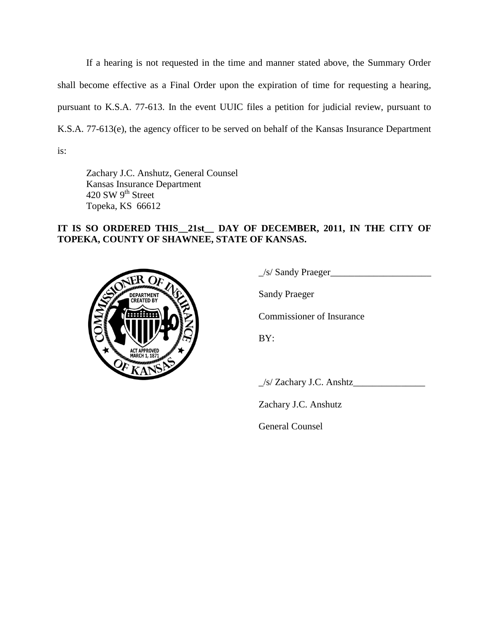If a hearing is not requested in the time and manner stated above, the Summary Order shall become effective as a Final Order upon the expiration of time for requesting a hearing, pursuant to K.S.A. 77-613. In the event UUIC files a petition for judicial review, pursuant to K.S.A. 77-613(e), the agency officer to be served on behalf of the Kansas Insurance Department is:

Zachary J.C. Anshutz, General Counsel Kansas Insurance Department 420 SW 9<sup>th</sup> Street Topeka, KS 66612

# **IT IS SO ORDERED THIS\_\_21st\_\_ DAY OF DECEMBER, 2011, IN THE CITY OF TOPEKA, COUNTY OF SHAWNEE, STATE OF KANSAS.**



 $\angle$ s/ Sandy Praeger $\angle$ 

Sandy Praeger

Commissioner of Insurance

BY:

 $\angle$ s/ Zachary J.C. Anshtz $\angle$ 

Zachary J.C. Anshutz

General Counsel